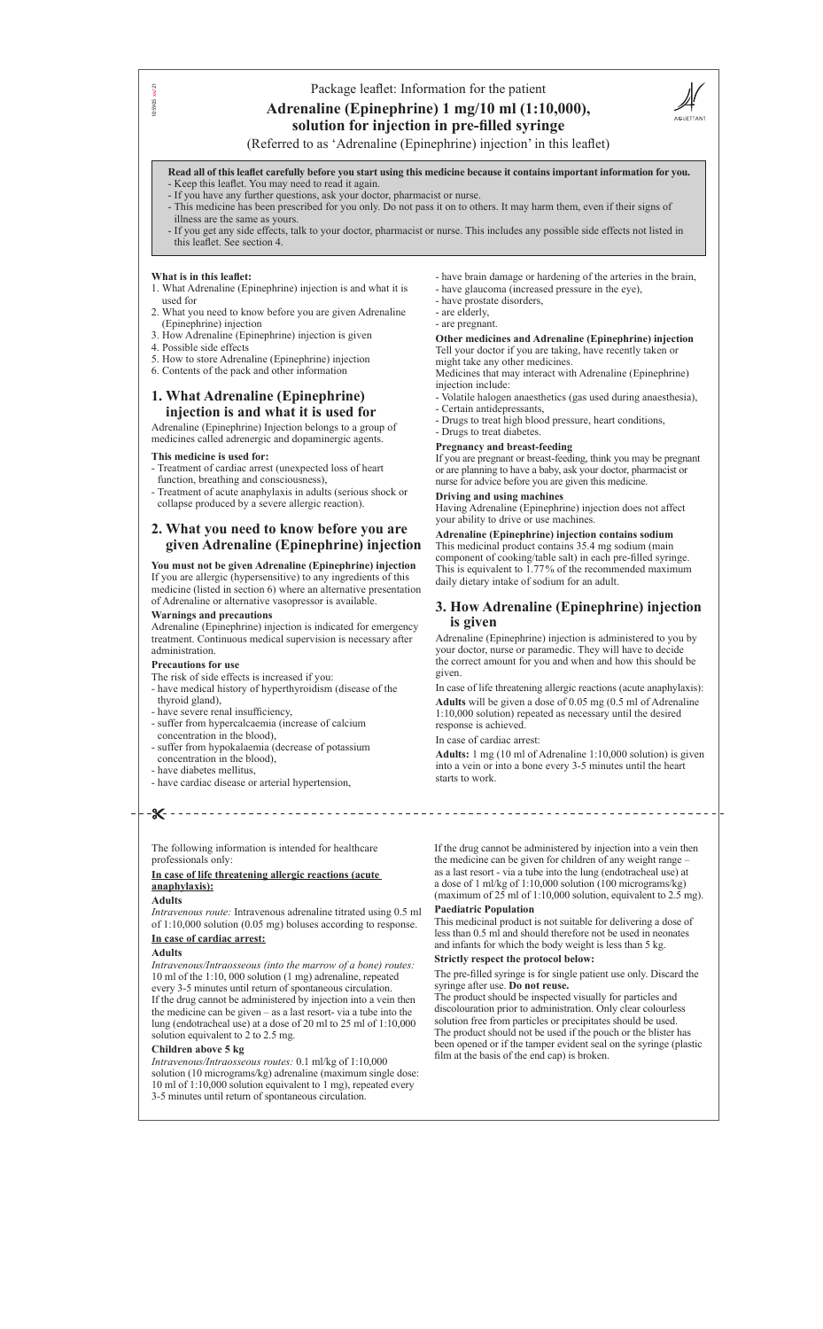## Package leaflet: Information for the patient

# **Adrenaline (Epinephrine) 1 mg/10 ml (1:10,000), solution for injection in pre-filled syringe**



(Referred to as 'Adrenaline (Epinephrine) injection' in this leaflet)

**Read all of this leaflet carefully before you start using this medicine because it contains important information for you.** - Keep this leaflet. You may need to read it again.

- If you have any further questions, ask your doctor, pharmacist or nurse.
- This medicine has been prescribed for you only. Do not pass it on to others. It may harm them, even if their signs of illness are the same as yours.
- If you get any side effects, talk to your doctor, pharmacist or nurse. This includes any possible side effects not listed in this leaflet. See section 4.

#### **What is in this leaflet:**

 $x/21$ 105905 xx/2105905

- 1. What Adrenaline (Epinephrine) injection is and what it is used for
- 2. What you need to know before you are given Adrenaline (Epinephrine) injection
- 3. How Adrenaline (Epinephrine) injection is given
- 4. Possible side effects
- 5. How to store Adrenaline (Epinephrine) injection
- 6. Contents of the pack and other information

## **1. What Adrenaline (Epinephrine) injection is and what it is used for**

Adrenaline (Epinephrine) Injection belongs to a group of medicines called adrenergic and dopaminergic agents.

#### **This medicine is used for:**

- Treatment of cardiac arrest (unexpected loss of heart function, breathing and consciousness),
- Treatment of acute anaphylaxis in adults (serious shock or collapse produced by a severe allergic reaction).

## **2. What you need to know before you are given Adrenaline (Epinephrine) injection**

**You must not be given Adrenaline (Epinephrine) injection** If you are allergic (hypersensitive) to any ingredients of this medicine (listed in section 6) where an alternative presentation of Adrenaline or alternative vasopressor is available.

#### **Warnings and precautions**

Adrenaline (Epinephrine) injection is indicated for emergency treatment. Continuous medical supervision is necessary after administration.

#### **Precautions for use**

- The risk of side effects is increased if you:
- have medical history of hyperthyroidism (disease of the thyroid gland),
- have severe renal insufficiency,
- suffer from hypercalcaemia (increase of calcium concentration in the blood),
- suffer from hypokalaemia (decrease of potassium concentration in the blood),
- have diabetes mellitus,
- have cardiac disease or arterial hypertension,

## -X-

- have brain damage or hardening of the arteries in the brain,
- have glaucoma (increased pressure in the eye),
- have prostate disorders,
- are elderly,
- are pregnant.

## **Other medicines and Adrenaline (Epinephrine) injection** Tell your doctor if you are taking, have recently taken or

might take any other medicines. Medicines that may interact with Adrenaline (Epinephrine) injection include:

- Volatile halogen anaesthetics (gas used during anaesthesia),
- Certain antidepressants,
- Drugs to treat high blood pressure, heart conditions,
- Drugs to treat diabetes.

#### **Pregnancy and breast-feeding**

If you are pregnant or breast-feeding, think you may be pregnant or are planning to have a baby, ask your doctor, pharmacist or nurse for advice before you are given this medicine.

#### **Driving and using machines**

Having Adrenaline (Epinephrine) injection does not affect your ability to drive or use machines.

## **Adrenaline (Epinephrine) injection contains sodium**

This medicinal product contains 35.4 mg sodium (main component of cooking/table salt) in each pre-filled syringe. This is equivalent to 1.77% of the recommended maximum daily dietary intake of sodium for an adult.

## **3. How Adrenaline (Epinephrine) injection is given**

Adrenaline (Epinephrine) injection is administered to you by your doctor, nurse or paramedic. They will have to decide the correct amount for you and when and how this should be given.

In case of life threatening allergic reactions (acute anaphylaxis):

**Adults** will be given a dose of 0.05 mg (0.5 ml of Adrenaline 1:10,000 solution) repeated as necessary until the desired response is achieved.

In case of cardiac arrest:

**Adults:** 1 mg (10 ml of Adrenaline 1:10,000 solution) is given into a vein or into a bone every 3-5 minutes until the heart starts to work.

The following information is intended for healthcare professionals only:

**In case of life threatening allergic reactions (acute** 

## **anaphylaxis):**

#### **Adults**

*Intravenous route:* Intravenous adrenaline titrated using 0.5 ml of 1:10,000 solution (0.05 mg) boluses according to response.

### **In case of cardiac arrest:**

## **Adults**

*Intravenous/Intraosseous (into the marrow of a bone) routes:* 10 ml of the 1:10, 000 solution (1 mg) adrenaline, repeated every 3-5 minutes until return of spontaneous circulation. If the drug cannot be administered by injection into a vein then the medicine can be given – as a last resort- via a tube into the lung (endotracheal use) at a dose of 20 ml to 25 ml of 1:10,000 solution equivalent to 2 to 2.5 mg.

### **Children above 5 kg**

*Intravenous/Intraosseous routes:* 0.1 ml/kg of 1:10,000 solution (10 micrograms/kg) adrenaline (maximum single dose: 10 ml of 1:10,000 solution equivalent to 1 mg), repeated every 3-5 minutes until return of spontaneous circulation.

If the drug cannot be administered by injection into a vein then the medicine can be given for children of any weight range – as a last resort - via a tube into the lung (endotracheal use) at a dose of 1 ml/kg of 1:10,000 solution (100 micrograms/kg) (maximum of 25 ml of 1:10,000 solution, equivalent to 2.5 mg).

### **Paediatric Population**

This medicinal product is not suitable for delivering a dose of less than 0.5 ml and should therefore not be used in neonates and infants for which the body weight is less than 5 kg.

### **Strictly respect the protocol below:**

The pre-filled syringe is for single patient use only. Discard the syringe after use. **Do not reuse.**

The product should be inspected visually for particles and discolouration prior to administration. Only clear colourless solution free from particles or precipitates should be used. The product should not be used if the pouch or the blister has been opened or if the tamper evident seal on the syringe (plastic film at the basis of the end cap) is broken.